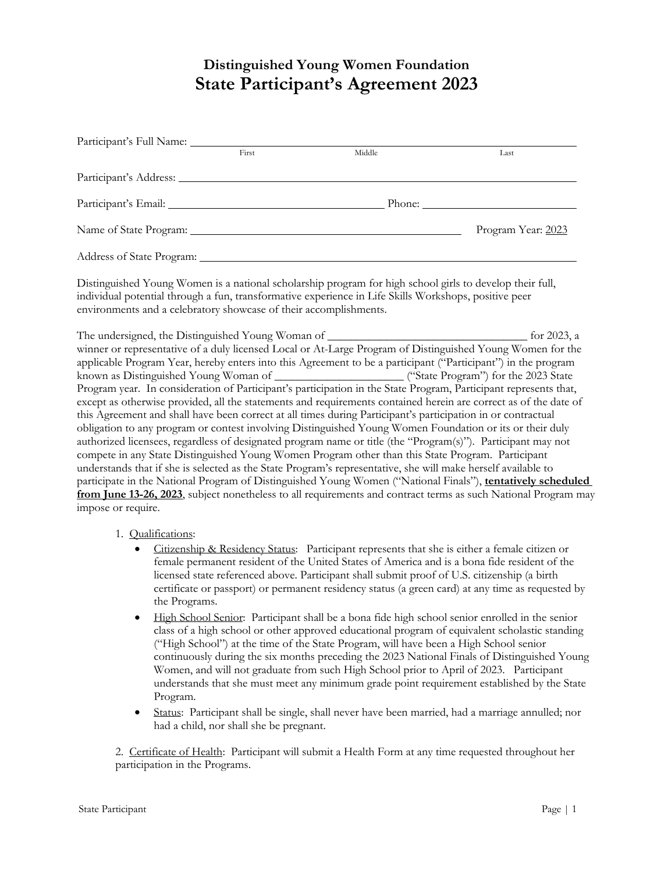## **Distinguished Young Women Foundation State Participant's Agreement 2023**

|                                                                                                                                                                                                                                                                                                                                    | First | Middle | Last                                                                                                                                                                                                                                                                                                                                                                                                                                                                                                                                                                                                                                                                                                                                                                                                                                                                                                                                                                                                                                            |
|------------------------------------------------------------------------------------------------------------------------------------------------------------------------------------------------------------------------------------------------------------------------------------------------------------------------------------|-------|--------|-------------------------------------------------------------------------------------------------------------------------------------------------------------------------------------------------------------------------------------------------------------------------------------------------------------------------------------------------------------------------------------------------------------------------------------------------------------------------------------------------------------------------------------------------------------------------------------------------------------------------------------------------------------------------------------------------------------------------------------------------------------------------------------------------------------------------------------------------------------------------------------------------------------------------------------------------------------------------------------------------------------------------------------------------|
|                                                                                                                                                                                                                                                                                                                                    |       |        |                                                                                                                                                                                                                                                                                                                                                                                                                                                                                                                                                                                                                                                                                                                                                                                                                                                                                                                                                                                                                                                 |
|                                                                                                                                                                                                                                                                                                                                    |       |        |                                                                                                                                                                                                                                                                                                                                                                                                                                                                                                                                                                                                                                                                                                                                                                                                                                                                                                                                                                                                                                                 |
|                                                                                                                                                                                                                                                                                                                                    |       |        | Program Year: 2023                                                                                                                                                                                                                                                                                                                                                                                                                                                                                                                                                                                                                                                                                                                                                                                                                                                                                                                                                                                                                              |
|                                                                                                                                                                                                                                                                                                                                    |       |        |                                                                                                                                                                                                                                                                                                                                                                                                                                                                                                                                                                                                                                                                                                                                                                                                                                                                                                                                                                                                                                                 |
| Distinguished Young Women is a national scholarship program for high school girls to develop their full,<br>individual potential through a fun, transformative experience in Life Skills Workshops, positive peer<br>environments and a celebratory showcase of their accomplishments.                                             |       |        |                                                                                                                                                                                                                                                                                                                                                                                                                                                                                                                                                                                                                                                                                                                                                                                                                                                                                                                                                                                                                                                 |
| this Agreement and shall have been correct at all times during Participant's participation in or contractual<br>compete in any State Distinguished Young Women Program other than this State Program. Participant<br>understands that if she is selected as the State Program's representative, she will make herself available to |       |        | winner or representative of a duly licensed Local or At-Large Program of Distinguished Young Women for the<br>applicable Program Year, hereby enters into this Agreement to be a participant ("Participant") in the program<br>known as Distinguished Young Woman of Carticipant's participation in the State Program") for the 2023 State<br>Program year. In consideration of Participant's participation in the State Program, Participant represents that,<br>except as otherwise provided, all the statements and requirements contained herein are correct as of the date of<br>obligation to any program or contest involving Distinguished Young Women Foundation or its or their duly<br>authorized licensees, regardless of designated program name or title (the "Program(s)"). Participant may not<br>participate in the National Program of Distinguished Young Women ("National Finals"), tentatively scheduled<br>from June 13-26, 2023, subject nonetheless to all requirements and contract terms as such National Program may |
| impose or require.                                                                                                                                                                                                                                                                                                                 |       |        |                                                                                                                                                                                                                                                                                                                                                                                                                                                                                                                                                                                                                                                                                                                                                                                                                                                                                                                                                                                                                                                 |

## 1. Qualifications:

- Citizenship & Residency Status: Participant represents that she is either a female citizen or female permanent resident of the United States of America and is a bona fide resident of the licensed state referenced above. Participant shall submit proof of U.S. citizenship (a birth certificate or passport) or permanent residency status (a green card) at any time as requested by the Programs.
- High School Senior: Participant shall be a bona fide high school senior enrolled in the senior class of a high school or other approved educational program of equivalent scholastic standing ("High School") at the time of the State Program, will have been a High School senior continuously during the six months preceding the 2023 National Finals of Distinguished Young Women, and will not graduate from such High School prior to April of 2023. Participant understands that she must meet any minimum grade point requirement established by the State Program.
- Status: Participant shall be single, shall never have been married, had a marriage annulled; nor had a child, nor shall she be pregnant.

2. Certificate of Health: Participant will submit a Health Form at any time requested throughout her participation in the Programs.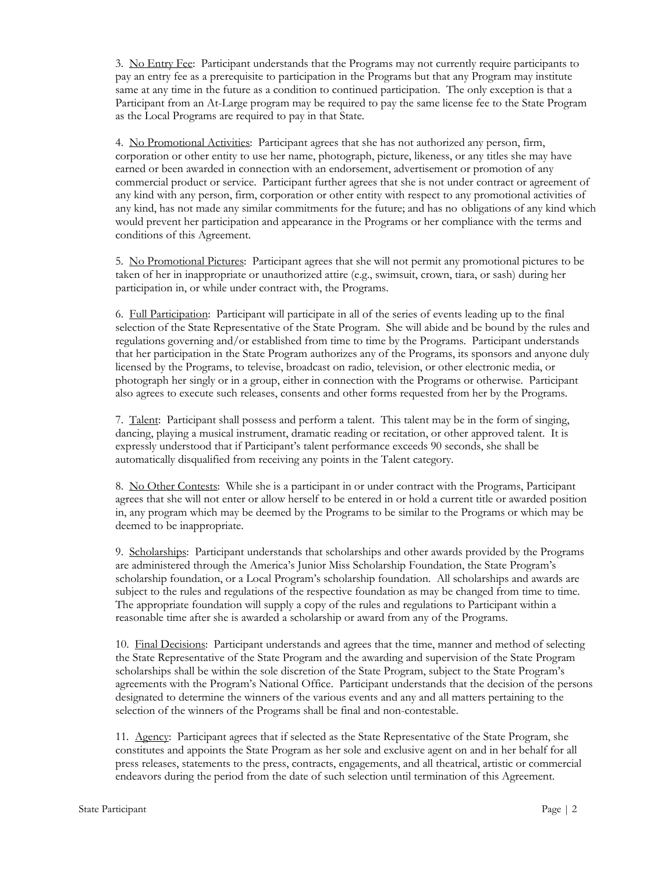3. No Entry Fee: Participant understands that the Programs may not currently require participants to pay an entry fee as a prerequisite to participation in the Programs but that any Program may institute same at any time in the future as a condition to continued participation. The only exception is that a Participant from an At-Large program may be required to pay the same license fee to the State Program as the Local Programs are required to pay in that State.

4. No Promotional Activities: Participant agrees that she has not authorized any person, firm, corporation or other entity to use her name, photograph, picture, likeness, or any titles she may have earned or been awarded in connection with an endorsement, advertisement or promotion of any commercial product or service. Participant further agrees that she is not under contract or agreement of any kind with any person, firm, corporation or other entity with respect to any promotional activities of any kind, has not made any similar commitments for the future; and has no obligations of any kind which would prevent her participation and appearance in the Programs or her compliance with the terms and conditions of this Agreement.

5. No Promotional Pictures: Participant agrees that she will not permit any promotional pictures to be taken of her in inappropriate or unauthorized attire (e.g., swimsuit, crown, tiara, or sash) during her participation in, or while under contract with, the Programs.

6. Full Participation: Participant will participate in all of the series of events leading up to the final selection of the State Representative of the State Program. She will abide and be bound by the rules and regulations governing and/or established from time to time by the Programs. Participant understands that her participation in the State Program authorizes any of the Programs, its sponsors and anyone duly licensed by the Programs, to televise, broadcast on radio, television, or other electronic media, or photograph her singly or in a group, either in connection with the Programs or otherwise. Participant also agrees to execute such releases, consents and other forms requested from her by the Programs.

7. Talent: Participant shall possess and perform a talent. This talent may be in the form of singing, dancing, playing a musical instrument, dramatic reading or recitation, or other approved talent. It is expressly understood that if Participant's talent performance exceeds 90 seconds, she shall be automatically disqualified from receiving any points in the Talent category.

8. No Other Contests: While she is a participant in or under contract with the Programs, Participant agrees that she will not enter or allow herself to be entered in or hold a current title or awarded position in, any program which may be deemed by the Programs to be similar to the Programs or which may be deemed to be inappropriate.

9. Scholarships: Participant understands that scholarships and other awards provided by the Programs are administered through the America's Junior Miss Scholarship Foundation, the State Program's scholarship foundation, or a Local Program's scholarship foundation. All scholarships and awards are subject to the rules and regulations of the respective foundation as may be changed from time to time. The appropriate foundation will supply a copy of the rules and regulations to Participant within a reasonable time after she is awarded a scholarship or award from any of the Programs.

10. Final Decisions: Participant understands and agrees that the time, manner and method of selecting the State Representative of the State Program and the awarding and supervision of the State Program scholarships shall be within the sole discretion of the State Program, subject to the State Program's agreements with the Program's National Office. Participant understands that the decision of the persons designated to determine the winners of the various events and any and all matters pertaining to the selection of the winners of the Programs shall be final and non-contestable.

11. Agency: Participant agrees that if selected as the State Representative of the State Program, she constitutes and appoints the State Program as her sole and exclusive agent on and in her behalf for all press releases, statements to the press, contracts, engagements, and all theatrical, artistic or commercial endeavors during the period from the date of such selection until termination of this Agreement.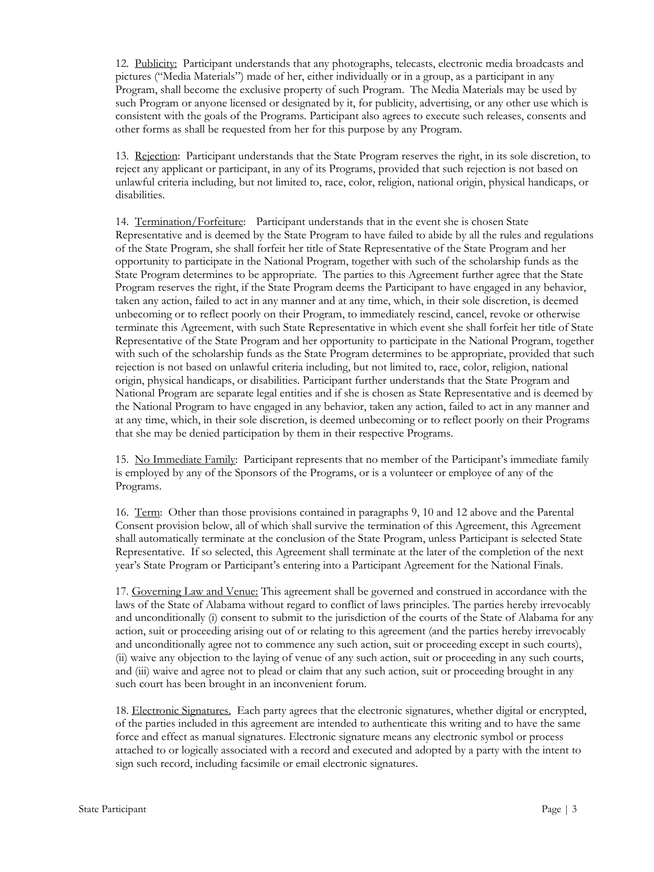12. Publicity: Participant understands that any photographs, telecasts, electronic media broadcasts and pictures ("Media Materials") made of her, either individually or in a group, as a participant in any Program, shall become the exclusive property of such Program. The Media Materials may be used by such Program or anyone licensed or designated by it, for publicity, advertising, or any other use which is consistent with the goals of the Programs. Participant also agrees to execute such releases, consents and other forms as shall be requested from her for this purpose by any Program.

13. Rejection: Participant understands that the State Program reserves the right, in its sole discretion, to reject any applicant or participant, in any of its Programs, provided that such rejection is not based on unlawful criteria including, but not limited to, race, color, religion, national origin, physical handicaps, or disabilities.

14. Termination/Forfeiture: Participant understands that in the event she is chosen State Representative and is deemed by the State Program to have failed to abide by all the rules and regulations of the State Program, she shall forfeit her title of State Representative of the State Program and her opportunity to participate in the National Program, together with such of the scholarship funds as the State Program determines to be appropriate. The parties to this Agreement further agree that the State Program reserves the right, if the State Program deems the Participant to have engaged in any behavior, taken any action, failed to act in any manner and at any time, which, in their sole discretion, is deemed unbecoming or to reflect poorly on their Program, to immediately rescind, cancel, revoke or otherwise terminate this Agreement, with such State Representative in which event she shall forfeit her title of State Representative of the State Program and her opportunity to participate in the National Program, together with such of the scholarship funds as the State Program determines to be appropriate, provided that such rejection is not based on unlawful criteria including, but not limited to, race, color, religion, national origin, physical handicaps, or disabilities. Participant further understands that the State Program and National Program are separate legal entities and if she is chosen as State Representative and is deemed by the National Program to have engaged in any behavior, taken any action, failed to act in any manner and at any time, which, in their sole discretion, is deemed unbecoming or to reflect poorly on their Programs that she may be denied participation by them in their respective Programs.

15. No Immediate Family: Participant represents that no member of the Participant's immediate family is employed by any of the Sponsors of the Programs, or is a volunteer or employee of any of the Programs.

16. Term: Other than those provisions contained in paragraphs 9, 10 and 12 above and the Parental Consent provision below, all of which shall survive the termination of this Agreement, this Agreement shall automatically terminate at the conclusion of the State Program, unless Participant is selected State Representative. If so selected, this Agreement shall terminate at the later of the completion of the next year's State Program or Participant's entering into a Participant Agreement for the National Finals.

17. Governing Law and Venue: This agreement shall be governed and construed in accordance with the laws of the State of Alabama without regard to conflict of laws principles. The parties hereby irrevocably and unconditionally (i) consent to submit to the jurisdiction of the courts of the State of Alabama for any action, suit or proceeding arising out of or relating to this agreement (and the parties hereby irrevocably and unconditionally agree not to commence any such action, suit or proceeding except in such courts), (ii) waive any objection to the laying of venue of any such action, suit or proceeding in any such courts, and (iii) waive and agree not to plead or claim that any such action, suit or proceeding brought in any such court has been brought in an inconvenient forum.

18. Electronic Signatures. Each party agrees that the electronic signatures, whether digital or encrypted, of the parties included in this agreement are intended to authenticate this writing and to have the same force and effect as manual signatures. Electronic signature means any electronic symbol or process attached to or logically associated with a record and executed and adopted by a party with the intent to sign such record, including facsimile or email electronic signatures.